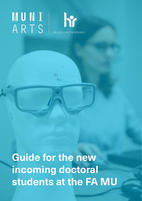# **muni** ARTS



**Guide for the new incoming doctoral students at the FA MU**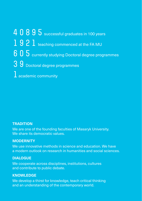40895 successful graduates in 100 years 1921 teaching commenced at the FA MU  $605$  currently studying Doctoral degree programmes 39 Doctoral degree programmes  $1$  academic community

#### **TRADITION**

We are one of the founding faculties of Masaryk University. We share its democratic values.

#### **MODERNITY**

We use innovative methods in science and education. We have a modern outlook on research in humanities and social sciences.

#### **DIALOGUE**

We cooperate across disciplines, institutions, cultures and contribute to public debate.

#### **KNOWLEDGE**

We develop a thirst for knowledge, teach critical thinking and an understanding of the contemporary world.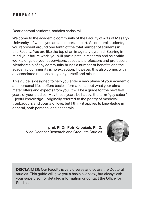# **Foreword**

Dear doctoral students, sodales carissimi,

Welcome to the academic community of the Faculty of Arts of Masaryk University, of which you are an important part. As doctoral students, you represent around one tenth of the total number of students in this Faculty. You are like the top of an imaginary pyramid. Bearing in mind your future work, you will participate in research and scientific work alongside your supervisors, associate professors and professors. Membership of any community brings a number of benefits and the academic community is no exception. However, this also comes with an associated responsibility for yourself and others.

This guide is designed to help you enter a new phase of your academic and personal life. It offers basic information about what your alma mater offers and expects from you. It will be a guide for the next few years of your studies. May these years be happy: the term "gay saber" – joyful knowledge – originally referred to the poetry of medieval troubadours and courts of love, but I think it applies to knowledge in general, both personal and academic.

> **prof. PhDr. Petr Kyloušek, Ph.D.** Vice-Dean for Research and Graduate Studies



**DISCLAIMER:** Our Faculty is very diverse and so are the Doctoral studies. This guide will give you a basic overview, but always ask your supervisor for detailed information or contact the Office for Studies.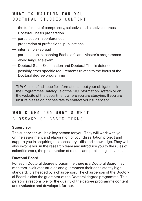# **What is waiting for you** Doctoral studies content

- the fulfilment of compulsory, selective and elective courses
- Doctoral Thesis preparation
- participation in conferences
- preparation of professional publications
- internship(s) abroad
- participation in teaching Bachelor's and Master's programmes
- world language exam
- Doctoral State Examination and Doctoral Thesis defence
- possibly other specific requirements related to the focus of the Doctoral degree programme

**TIP:** You can find specific information about your obligations in the Programmes Catalogue of the MU Information System or on the website of the department where you are studying. If you are unsure please do not hesitate to contact your supervisor.

# **Who's who and what's what**

# Glossary of basic terms

# **Supervisor**

The supervisor will be a key person for you. They will work with you on the assignment and elaboration of your dissertation project and support you in acquiring the necessary skills and knowledge. They will also involve you in the research team and introduce you to the rules of scientific work, the presentation of results and publishing activities.

#### **Doctoral Board**

For each Doctoral degree programme there is a Doctoral Board that monitors, evaluates studies and guarantees their consistently high standard. It is headed by a chairperson. The chairperson of the Doctoral Board is also the guarantor of the Doctoral degree programme. This person is responsible for the quality of the degree programme content and evaluates and develops it further.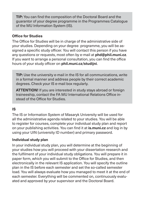**TIP:** You can find the composition of the Doctoral Board and the guarantor of your degree programme in the Programmes Catalogue of the MU Information System (IS).

#### **Office for Studies**

The Office for Studies will be in charge of the administrative side of your studies. Depending on your degree programme, you will be assigned a specific study officer. You will contact this person if you have any questions or requests, most often by e-mail at **[phd@phil.muni.cz](mailto:phd%40phil.muni.cz?subject=)**. If you want to arrange a personal consultation, you can find the office hours of your study officer on **[phil.muni.cz/studijni](http://phil.muni.cz/studijni)**.

**TIP:** Use the university e-mail in the IS for all communications, write in a formal manner and address people by their correct academic degrees. Check your IS e-mail box regularly.

**ATTENTION!** If you are interested in study stays abroad or foreign traineeship, contact the FA MU International Relations Office instead of the Office for Studies.

#### **IS**

The IS or Information System of Masaryk University will be used for all the administrative agenda related to your studies. You will be able to register for courses, complete your individual study plan and report on your publishing activities. You can find it at **[is.muni.cz](https://is.muni.cz/%3Flang%3Den)** and log in by using your UIN (university ID number) and primary password.

#### **Individual study plan**

In your individual study plan, you will determine at the beginning of your studies how you will proceed with your dissertation research and the fulfilment of your individual study obligations. You will prepare it in paper form, which you will submit to the Office for Studies, and then electronically in the relevant IS application. You will specify the outline plan in the IS before each semester and set the so-called semester load. You will always evaluate how you managed to meet it at the end of each semester. Everything will be commented on, continuously evaluated and approved by your supervisor and the Doctoral Board.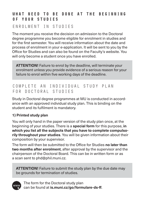# **What need to be done at the beginning of your studies**

# Enrolment in studies

The moment you receive the decision on admission to the Doctoral degree programme you become eligible for enrolment in studies and for the first semester. You will receive information about the date and process of enrolment in your e-application. It will be sent to you by the Office for Studies and can also be found on the Faculty's website. You will only become a student once you have enrolled.

**ATTENTION!** Failure to enrol by the deadline, will terminate your enrolment unless you provide evidence of a serious reason for your failure to enrol within five working days of the deadline.

# Complete an individual study plan for Doctoral studies

Study in Doctoral degree programmes at MU is conducted in accordance with an approved individual study plan. This is binding on the student and its fulfilment is mandatory.

# **1) Printed study plan**

You will only hand in the paper version of the study plan once, at the beginning of your studies. There is a **special form** for this purpose, **in which you list all the subjects that you have to complete compulsorily throughout your studies**. You will be given information about their composition by your supervisor.

The form will then be submitted to the Office for Studies **no later than two months after enrolment**, after approval by the supervisor and the chairperson of the Doctoral Board. This can be in written form or as a scan sent to [phd@phil.muni.cz.](mailto:phd%40phil.muni.cz?subject=)

**ATTENTION!** Failure to submit the study plan by the due date may be grounds for termination of studies.



The form for the Doctoral study plan can be found at **[is.muni.cz/go/formulare-ds-ff](http://is.muni.cz/go/formulare-ds-ff)**.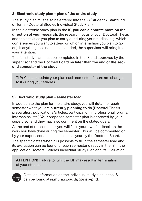# **2) Electronic study plan – plan of the entire study**

The study plan must also be entered into the IS (Student > Start/End of Term > Doctoral Studies Individual Study Plan).

In the electronic study plan in the IS, **you can elaborate more on the direction of your research**, the research focus of your Doctoral Thesis and the activities you plan to carry out during your studies (e.g. which conferences you want to attend or which internships you plan to go on). If anything else needs to be added, the supervisor will bring it to your attention.

The full study plan must be completed in the IS and approved by the supervisor and the Doctoral Board **no later than the end of the second semester of the study**.

**TIP:** You can update your plan each semester if there are changes to it during your studies.

#### **3) Electronic study plan – semester load**

In addition to the plan for the entire study, you will **detail** for each semester what you are **currently planning to do** (Doctoral Thesis preparation, publications/articles, participation in professional forums, internships, etc.) Your proposed semester plan is approved by your supervisor and they may also comment on the stated goals.

At the end of the semester, you will fill in your own feedback on the work you have done during the semester. This will be commented on by your supervisor and at least once a year by the Doctoral Board.

The specific dates when it is possible to fill in the semester load and its evaluation can be found for each semester directly in the IS in the application Doctoral Studies Individual Study Plan and Its Evaluation.

**ATTENTION!** Failure to fulfil the ISP may result in termination of your studies.



Detailed information on the individual study plan in the IS can be found at **[is.muni.cz/auth/go/isp-phd](http://is.muni.cz/auth/go/isp-phd)**.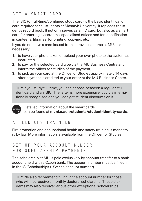# Get a smart card

The ISIC (or full-time/combined study card) is the basic identification card required for all students at Masaryk University. It replaces the student's record book. It not only serves as an ID card, but also as a smart card for entering classrooms, specialised offices and for identification in canteens, libraries, for printing, copying, etc.

If you do not have a card issued from a previous course at MU, it is necessary:

- **1.** to have your photo taken or upload your own photo to the system as instructed,
- **2.** to pay for the selected card type via the MU Business Centre and inform the officer for studies of the payment,
- **3.** to pick up your card at the Office for Studies approximately 14 days after payment is credited to your order at the MU Business Center.

**TIP:** If you study full-time, you can choose between a regular student card and an ISIC. The latter is more expensive, but it is internationally recognised and you can get student discounts on it.



Detailed information about the smart cards can be found at **[muni.cz/en/students/student-identity-cards](http://muni.cz/en/students/student-identity-cards)**.

# Attend OHS training

Fire protection and occupational health and safety training is mandatory by law. More information is available from the Officer for Studies.

# Set up your account number for scholarship payments

The scholarship at MU is paid exclusively by account transfer to a bank account held with a Czech bank. The account number must be filled in in the IS (Scholarships > Set the account number).

**TIP:** We also recommend filling in the account number for those who will not receive a monthly doctoral scholarship. These students may also receive various other exceptional scholarships.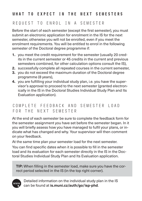# **What to expect in the next semesters**

# Request to enrol in a semester

Before the start of each semester (except the first semester), you must submit an electronic application for enrolment in the IS for the next semester, otherwise you will not be enrolled, even if you meet the enrolment requirements. You will be entitled to enrol in the following semester of the Doctoral degree programme if:

- **1.** you meet the credit requirement for the semester (usually 20 credits in the current semester or 45 credits in the current and previous semesters combined, for other calculation options consult the IS),
- **2.** successfully complete all repeated courses in the current semester,
- **3.** you do not exceed the maximum duration of the Doctoral degree programme (8 years),
- **4.** you are fulfilling your individual study plan, i.e. you have the supervisor's approval to proceed to the next semester (granted electronically in the IS in the Doctoral Studies Individual Study Plan and Its Evaluation application).

# Complete feedback and semester load for the next semester

At the end of each semester be sure to complete the feedback form for the semester assignment you have set before the semester began. In it you will briefly assess how you have managed to fulfil your plans, or indicate what has changed and why. Your supervisor will then comment on your feedback.

At the same time plan your semester load for the next semester.

You can find specific dates when it is possible to fill in the semester load and its evaluation for each semester directly in the IS in the Doctoral Studies Individual Study Plan and Its Evaluation application.

**TIP:** When filling in the semester load, make sure you have the correct period selected in the IS (in the top right corner).



Detailed information on the individual study plan in the IS can be found at **[is.muni.cz/auth/go/isp-phd](http://is.muni.cz/auth/go/isp-phd)**.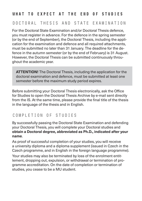# **What to expect at the end of studies**

# Doctoral thesis and state examination

For the Doctoral State Examination and/or Doctoral Thesis defence, you must register in advance. For the defence in the spring semester (or by the end of September), the Doctoral Thesis, including the application for the examination and defence and all required attachments, must be submitted no later than 31 January. The deadline for the defence in the autumn semester (or by the end of February) is 31 August. However, the Doctoral Thesis can be submitted continuously throughout the academic year.

**ATTENTION!** The Doctoral Thesis, including the application for the doctoral examination and defence, must be submitted at least one semester before the maximum study period expires.

Before submitting your Doctoral Thesis electronically, ask the Office for Studies to open the Doctoral Thesis Archive by e-mail sent directly from the IS. At the same time, please provide the final title of the thesis in the language of the thesis and in English.

# Completion of studies

By successfully passing the Doctoral State Examination and defending your Doctoral Thesis, you will complete your Doctoral studies and **obtain a Doctoral degree, abbreviated as Ph.D., indicated after your name**.

As proof of successful completion of your studies, you will receive a university diploma and a diploma supplement (issued in Czech in the Czech programme, and in English in the foreign language programme).

Your studies may also be terminated by loss of the enrolment entitlement, dropping out, expulsion, or withdrawal or termination of programme accreditation. On the date of completion or termination of studies, you cease to be a MU student.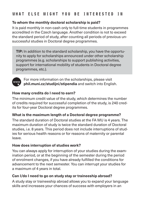# **What else might you be interested in**

#### **To whom the monthly doctoral scholarship is paid?**

It is paid monthly in non-cash only to full-time students in programmes accredited in the Czech language. Another condition is not to exceed the standard period of study, after counting all periods of previous unsuccessful studies in Doctoral degree programmes.

**TIP:** In addition to the standard scholarship, you have the opportunity to apply for scholarships announced under other scholarship programmes (e.g. scholarships to support publishing activities, support for international mobility of students in Doctoral degree programmes, etc.).



For more information on the scholarships, please visit **[phil.muni.cz/studijni/stipendia](https://www.phil.muni.cz/en/about-us/organisational-structure/219913-office-for-studies/stipendia)** and switch into English.

#### **How many credits do I need to earn?**

The minimum credit value of the study, which determines the number of credits required for successful completion of the study, is 240 credits for four-year Doctoral degree programmes.

#### **What is the maximum length of a Doctoral degree programme?**

The standard duration of Doctoral studies at the FA MU is 4 years. The maximum duration of study is twice the standard duration of Doctoral studies, i.e. 8 years. This period does not include interruptions of studies for serious health reasons or for reasons of maternity or parental leave.

#### **How does interruption of studies work?**

You can always apply for interruption of your studies during the examination period, or at the beginning of the semester during the period of enrolment changes, if you have already fulfilled the conditions for advancement to the next semester. You can interrupt your studies for a maximum of 4 years in total.

#### **Can I/do I need to go on study stay or traineeship abroad?**

A study stay or traineeship abroad allows you to expand your language skills and increases your chances of success with employers in an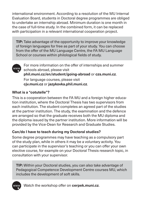international environment. According to a resolution of the MU Internal Evaluation Board, students in Doctoral degree programmes are obliged to undertake an internship abroad. Minimum duration is one month in the case of full-time study. In the combined form, it can be replaced with participation in a relevant international cooperation project.

**TIP:** Take advantage of the opportunity to improve your knowledge of foreign languages for free as part of your study. You can choose from the offer of the MU Language Centre, the FA MU Language School or courses within philological fields of study.



For more information on the offer of internships and summer schools abroad, please visit **[phil.muni.cz/en/student/going-abroad](http://phil.muni.cz/en/student/going-abroad)** or **[czs.muni.cz](https://czs.muni.cz/en/)**.

For language courses, please visit **[cjv.muni.cz](https://www.cjv.muni.cz/en)** or **[jazykovka.phil.muni.cz](http://jazykovka.phil.muni.cz)**.

# **What is a "cotutelle"?**

This is a cooperation between the FA MU and a foreign higher education institution, where the Doctoral Thesis has two supervisors from each institution. The student completes an agreed part of the studies at the partner institution. The study, the examination and the defence are arranged so that the graduate receives both the MU diploma and the diploma issued by the partner institution. More information will be provided by the Vice-Dean for Research and Graduate Studies.

# **Can/do I have to teach during my Doctoral studies?**

Some degree programmes may have teaching as a compulsory part of the study plan, while in others it may be a voluntary activity. You can participate in the supervisor's teaching or you can offer your own elective course, for example on your Doctoral Thesis research topic, in consultation with your supervisor.

**TIP:** Within your Doctoral studies, you can also take advantage of Pedagogical Competence Development Centre courses MU, which includes the development of soft skills.



Watch the workshop offer on **[cerpek.muni.cz](https://cerpek.muni.cz/en)**.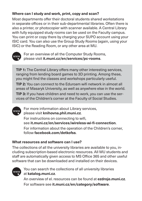# **Where can I study and work, print, copy and scan?**

Most departments offer their doctoral students shared workstations in separate offices or in their sub-departmental libraries. Often there is also a printer, or photocopier with scanner available. A Central Library with fully equipped study rooms can be used on the Faculty campus. You can print or copy there by charging your SUPO account using your ISIC card. You can also use the Group Study Rooms (again, using your ISIC) or the Reading Room, or any other area at MU.



For an overview of all the Computer Study Rooms, please visit **[it.muni.cz/en/services/pc-rooms](http://it.muni.cz/en/services/pc-rooms)**.

**TIP 1:** The Central Library offers many other interesting services, ranging from lending board games to 3D printing. Among these, you might find the classes and workshops particularly useful.

**TIP 2:** You can connect to the Eduroam wifi network in almost all areas of Masaryk University, as well as anywhere else in the world.

**TIP 3:** If you have children and need to work, you can use the services of the Children's corner at the Faculty of Social Studies.



For more information about Library services, please visit **[knihovna.phil.muni.cz](http://knihovna.phil.muni.cz/en)**.

For instructions on connecting to wifi, see **[it.muni.cz/en/services/wireless-wi-fi-connection](http://it.muni.cz/en/services/wireless-wi-fi-connection)**. For information about the operation of the Children's corner, follow **[facebook.com/detkofss](http://facebook.com/detkofss)**.

#### **What resources and software can I use?**

The collections of all the university libraries are available to you, including subscription-based electronic resources. All MU students and staff are automatically given access to MS Office 365 and other useful software that can be downloaded and installed on their devices.



You can search the collections of all university libraries at **[katalog.muni.cz](http://katalog.muni.cz)**.

An overview of el. resources can be found at **[ezdroje.muni.cz](https://ezdroje.muni.cz/index.php%3Flang%3Den)**. For software see **[it.muni.cz/en/category/software](http://it.muni.cz/en/category/software)**.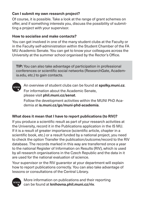# **Can I submit my own research project?**

Of course, it is possible. Take a look at the range of grant schemes on offer, and if something interests you, discuss the possibility of submitting a project with your supervisor.

# **How to socialise and make contacts?**

You can get involved in one of the many student clubs at the Faculty or in the Faculty self-administration within the Student Chamber of the FA MU Academic Senate. You can get to know your colleagues across the University at the summer school organised by the Rector's Office.

**TIP:** You can also take advantage of participation in professional conferences or scientific social networks (ResearchGate, Academia.edu, etc.) to gain contacts.

An overview of student clubs can be found at **[spolky.muni.cz](https://www.muni.cz/en/students/student-clubs-associations)**. www For information about the Academic Senate, please visit **[phil.muni.cz/senat](https://www.phil.muni.cz/en/about-us/organisational-structure/academic-senate)**.

Follow the development activities within the MUNI PhD Academia at **[is.muni.cz/go/muni-phd-academia](http://is.muni.cz/go/muni-phd-academia)**.

# **What does it mean that I have to report publications (to RIV)?**

If you produce a scientific result as part of your research activities at the University, record it in the Publications application in the IS MU. If it is a result of greater importance (scientific article, chapter in a scientific book, etc.) or a result funded by a national project, you need to check the option Transfer the publication/outcome/record to the RIV database. The records marked in this way are transferred once a year to the national Register of Information on Results (RIV), which is used by all research organisations in the Czech Republic and the data in it are used for the national evaluation of science.

Your supervisor or the RIV guarantor at your department will explain how to report publications correctly. You can also take advantage of lessons or consultations of the Central Library.



More information on publications and their reporting can be found at **[knihovna.phil.muni.cz/riv](https://knihovna.phil.muni.cz/en/study-research-support/academic-publishing-riv)**.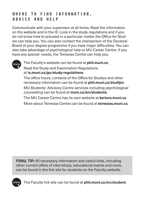# **Where to find information, advice and help**

Communicate with your supervisor at all times. Read the information on the website and in the IS. Look in the study regulations and if you do not know how to proceed in a particular matter the Office for Studies can help you. You can also contact the chairperson of the Doctoral Board of your degree programme if you have major difficulties. You can also take advantage of psychological help or MU Career Centre. If you have any special needs, the Teiresias Centre can help you.



The Faculty's website can be found at **[phil.muni.cz](http://phil.muni.cz)**. Read the Study and Examination Regulations at **[is.muni.cz/go/study-regulations](http://is.muni.cz/go/study-regulations)**.

The office hours, contacts of the Office for Studies and other necessary information can be found at **[phil.muni.cz/studijni](http://phil.muni.cz/studijni)**. MU Students' Advisory Centre services including psychological counselling can be found at **[muni.cz/en/students](http://muni.cz/en/students)**.

The MU Career Centre has its own website at **[kariera.muni.cz](https://www.kariera.muni.cz/en/)**. More about Teiresias Centre can be found at **[teiresias.muni.cz](https://www.teiresias.muni.cz/%3Flang%3Den-GB)**.

**FINAL TIP:** All necessary information and useful links, including other current offers of internships, educational events and more, can be found in the link site for students on the Faculty website.



The Faculty link site can be found at **[phil.muni.cz/en/student](http://phil.muni.cz/en/student)**.